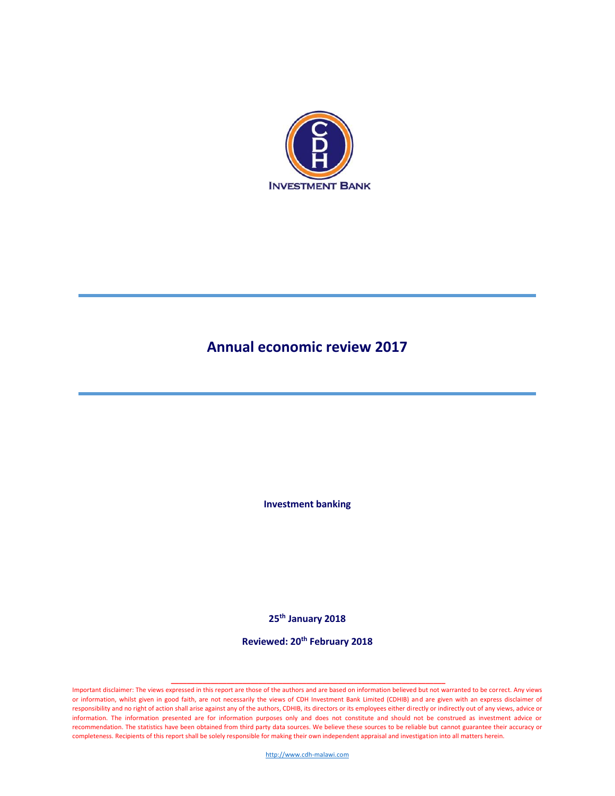

# **Annual economic review 2017**

**Investment banking**

**25th January 2018**

**Reviewed: 20th February 2018**

Important disclaimer: The views expressed in this report are those of the authors and are based on information believed but not warranted to be correct. Any views or information, whilst given in good faith, are not necessarily the views of CDH Investment Bank Limited (CDHIB) and are given with an express disclaimer of responsibility and no right of action shall arise against any of the authors, CDHIB, its directors or its employees either directly or indirectly out of any views, advice or information. The information presented are for information purposes only and does not constitute and should not be construed as investment advice or recommendation. The statistics have been obtained from third party data sources. We believe these sources to be reliable but cannot guarantee their accuracy or completeness. Recipients of this report shall be solely responsible for making their own independent appraisal and investigation into all matters herein.

**\_\_\_\_\_\_\_\_\_\_\_\_\_\_\_\_\_\_\_\_\_\_\_\_\_\_\_\_\_\_\_\_\_\_\_\_\_\_\_\_\_\_\_\_\_\_\_\_\_\_\_\_\_\_\_\_\_\_\_\_\_\_\_\_\_\_\_\_\_** 

[http://www.cdh-malawi.com](http://www.cdh-malawi.com/)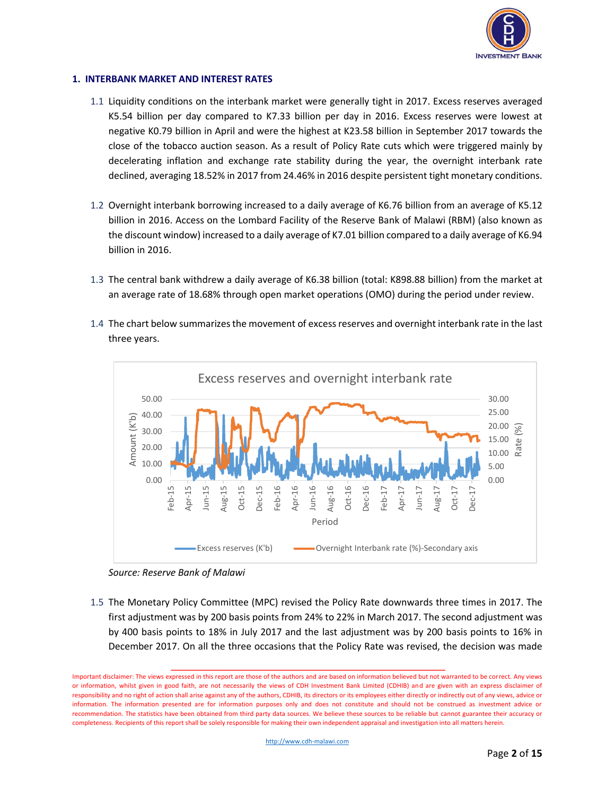

## **1. INTERBANK MARKET AND INTEREST RATES**

- 1.1 Liquidity conditions on the interbank market were generally tight in 2017. Excess reserves averaged K5.54 billion per day compared to K7.33 billion per day in 2016. Excess reserves were lowest at negative K0.79 billion in April and were the highest at K23.58 billion in September 2017 towards the close of the tobacco auction season. As a result of Policy Rate cuts which were triggered mainly by decelerating inflation and exchange rate stability during the year, the overnight interbank rate declined, averaging 18.52% in 2017 from 24.46% in 2016 despite persistent tight monetary conditions.
- 1.2 Overnight interbank borrowing increased to a daily average of K6.76 billion from an average of K5.12 billion in 2016. Access on the Lombard Facility of the Reserve Bank of Malawi (RBM) (also known as the discount window) increased to a daily average of K7.01 billion compared to a daily average of K6.94 billion in 2016.
- 1.3 The central bank withdrew a daily average of K6.38 billion (total: K898.88 billion) from the market at an average rate of 18.68% through open market operations (OMO) during the period under review.
- 1.4 The chart below summarizes the movement of excess reserves and overnight interbank rate in the last three years.





1.5 The Monetary Policy Committee (MPC) revised the Policy Rate downwards three times in 2017. The first adjustment was by 200 basis points from 24% to 22% in March 2017. The second adjustment was by 400 basis points to 18% in July 2017 and the last adjustment was by 200 basis points to 16% in December 2017. On all the three occasions that the Policy Rate was revised, the decision was made

Important disclaimer: The views expressed in this report are those of the authors and are based on information believed but not warranted to be correct. Any views or information, whilst given in good faith, are not necessarily the views of CDH Investment Bank Limited (CDHIB) and are given with an express disclaimer of responsibility and no right of action shall arise against any of the authors, CDHIB, its directors or its employees either directly or indirectly out of any views, advice or information. The information presented are for information purposes only and does not constitute and should not be construed as investment advice or recommendation. The statistics have been obtained from third party data sources. We believe these sources to be reliable but cannot guarantee their accuracy or completeness. Recipients of this report shall be solely responsible for making their own independent appraisal and investigation into all matters herein.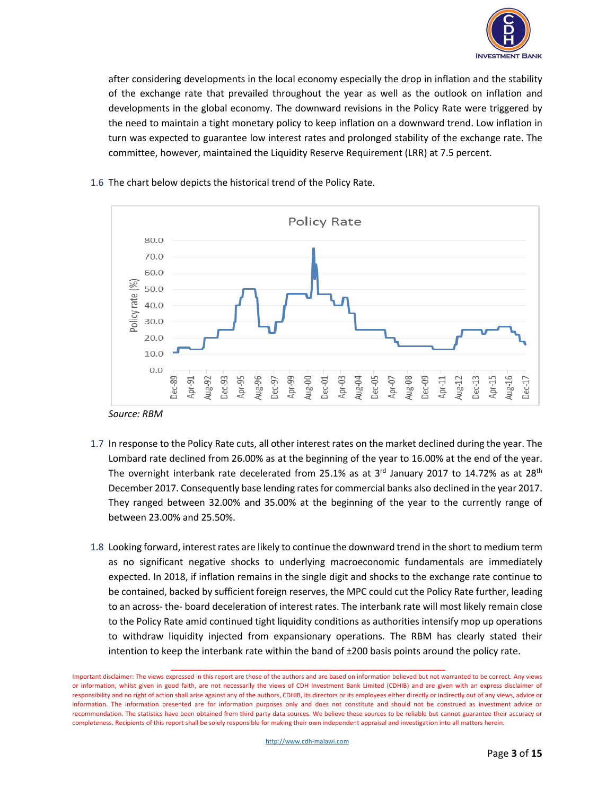

after considering developments in the local economy especially the drop in inflation and the stability of the exchange rate that prevailed throughout the year as well as the outlook on inflation and developments in the global economy. The downward revisions in the Policy Rate were triggered by the need to maintain a tight monetary policy to keep inflation on a downward trend. Low inflation in turn was expected to guarantee low interest rates and prolonged stability of the exchange rate. The committee, however, maintained the Liquidity Reserve Requirement (LRR) at 7.5 percent.



# 1.6 The chart below depicts the historical trend of the Policy Rate.

- 1.7 In response to the Policy Rate cuts, all other interest rates on the market declined during the year. The Lombard rate declined from 26.00% as at the beginning of the year to 16.00% at the end of the year. The overnight interbank rate decelerated from 25.1% as at  $3<sup>rd</sup>$  January 2017 to 14.72% as at 28<sup>th</sup> December 2017. Consequently base lending rates for commercial banks also declined in the year 2017. They ranged between 32.00% and 35.00% at the beginning of the year to the currently range of between 23.00% and 25.50%.
- 1.8 Looking forward, interest rates are likely to continue the downward trend in the short to medium term as no significant negative shocks to underlying macroeconomic fundamentals are immediately expected. In 2018, if inflation remains in the single digit and shocks to the exchange rate continue to be contained, backed by sufficient foreign reserves, the MPC could cut the Policy Rate further, leading to an across- the- board deceleration of interest rates. The interbank rate will most likely remain close to the Policy Rate amid continued tight liquidity conditions as authorities intensify mop up operations to withdraw liquidity injected from expansionary operations. The RBM has clearly stated their intention to keep the interbank rate within the band of ±200 basis points around the policy rate.

Important disclaimer: The views expressed in this report are those of the authors and are based on information believed but not warranted to be correct. Any views or information, whilst given in good faith, are not necessarily the views of CDH Investment Bank Limited (CDHIB) and are given with an express disclaimer of responsibility and no right of action shall arise against any of the authors, CDHIB, its directors or its employees either directly or indirectly out of any views, advice or information. The information presented are for information purposes only and does not constitute and should not be construed as investment advice or recommendation. The statistics have been obtained from third party data sources. We believe these sources to be reliable but cannot guarantee their accuracy or completeness. Recipients of this report shall be solely responsible for making their own independent appraisal and investigation into all matters herein.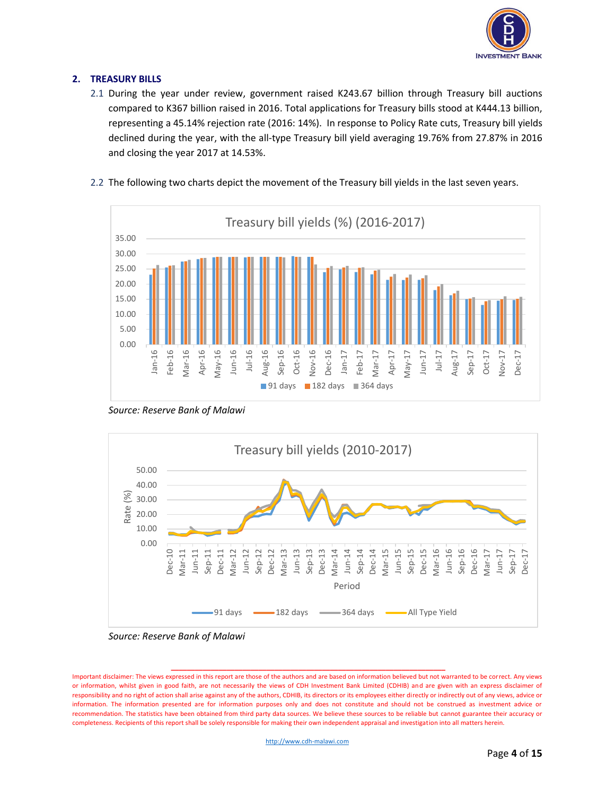

# **2. TREASURY BILLS**

2.1 During the year under review, government raised K243.67 billion through Treasury bill auctions compared to K367 billion raised in 2016. Total applications for Treasury bills stood at K444.13 billion, representing a 45.14% rejection rate (2016: 14%). In response to Policy Rate cuts, Treasury bill yields declined during the year, with the all-type Treasury bill yield averaging 19.76% from 27.87% in 2016 and closing the year 2017 at 14.53%.



2.2 The following two charts depict the movement of the Treasury bill yields in the last seven years.

*Source: Reserve Bank of Malawi*



*Source: Reserve Bank of Malawi*

Important disclaimer: The views expressed in this report are those of the authors and are based on information believed but not warranted to be correct. Any views or information, whilst given in good faith, are not necessarily the views of CDH Investment Bank Limited (CDHIB) and are given with an express disclaimer of responsibility and no right of action shall arise against any of the authors, CDHIB, its directors or its employees either directly or indirectly out of any views, advice or information. The information presented are for information purposes only and does not constitute and should not be construed as investment advice or recommendation. The statistics have been obtained from third party data sources. We believe these sources to be reliable but cannot guarantee their accuracy or completeness. Recipients of this report shall be solely responsible for making their own independent appraisal and investigation into all matters herein.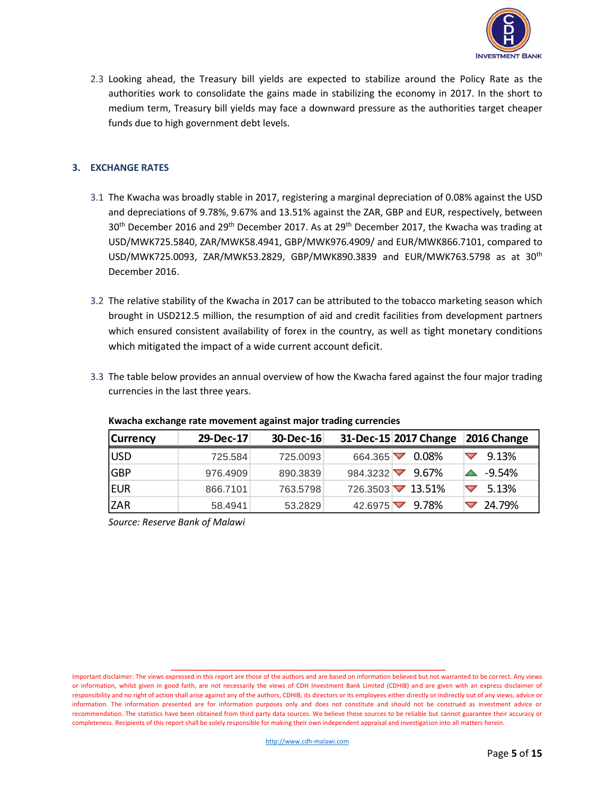

2.3 Looking ahead, the Treasury bill yields are expected to stabilize around the Policy Rate as the authorities work to consolidate the gains made in stabilizing the economy in 2017. In the short to medium term, Treasury bill yields may face a downward pressure as the authorities target cheaper funds due to high government debt levels.

## **3. EXCHANGE RATES**

- 3.1 The Kwacha was broadly stable in 2017, registering a marginal depreciation of 0.08% against the USD and depreciations of 9.78%, 9.67% and 13.51% against the ZAR, GBP and EUR, respectively, between 30<sup>th</sup> December 2016 and 29<sup>th</sup> December 2017. As at 29<sup>th</sup> December 2017, the Kwacha was trading at USD/MWK725.5840, ZAR/MWK58.4941, GBP/MWK976.4909/ and EUR/MWK866.7101, compared to USD/MWK725.0093, ZAR/MWK53.2829, GBP/MWK890.3839 and EUR/MWK763.5798 as at 30th December 2016.
- 3.2 The relative stability of the Kwacha in 2017 can be attributed to the tobacco marketing season which brought in USD212.5 million, the resumption of aid and credit facilities from development partners which ensured consistent availability of forex in the country, as well as tight monetary conditions which mitigated the impact of a wide current account deficit.
- 3.3 The table below provides an annual overview of how the Kwacha fared against the four major trading currencies in the last three years.

| <b>Currency</b> | 29-Dec-17 | 30-Dec-16 |                  | 31-Dec-15 2017 Change | 2016 Change |
|-----------------|-----------|-----------|------------------|-----------------------|-------------|
| <b>USD</b>      | 725.584   | 725,0093  | $664.365 \nabla$ | 0.08%                 | 9.13%       |
| <b>GBP</b>      | 976.4909  | 890.3839  | 984.3232         | 9.67%                 | $-9.54\%$   |
| <b>EUR</b>      | 866.7101  | 763.5798  |                  | 726.3503 7 13.51%     | 5.13%       |
| <b>ZAR</b>      | 58.4941   | 53.2829   | 42.6975          | 9.78%                 | 24.79%      |

## **Kwacha exchange rate movement against major trading currencies**

*Source: Reserve Bank of Malawi*

Important disclaimer: The views expressed in this report are those of the authors and are based on information believed but not warranted to be correct. Any views or information, whilst given in good faith, are not necessarily the views of CDH Investment Bank Limited (CDHIB) and are given with an express disclaimer of responsibility and no right of action shall arise against any of the authors, CDHIB, its directors or its employees either directly or indirectly out of any views, advice or information. The information presented are for information purposes only and does not constitute and should not be construed as investment advice or recommendation. The statistics have been obtained from third party data sources. We believe these sources to be reliable but cannot guarantee their accuracy or completeness. Recipients of this report shall be solely responsible for making their own independent appraisal and investigation into all matters herein.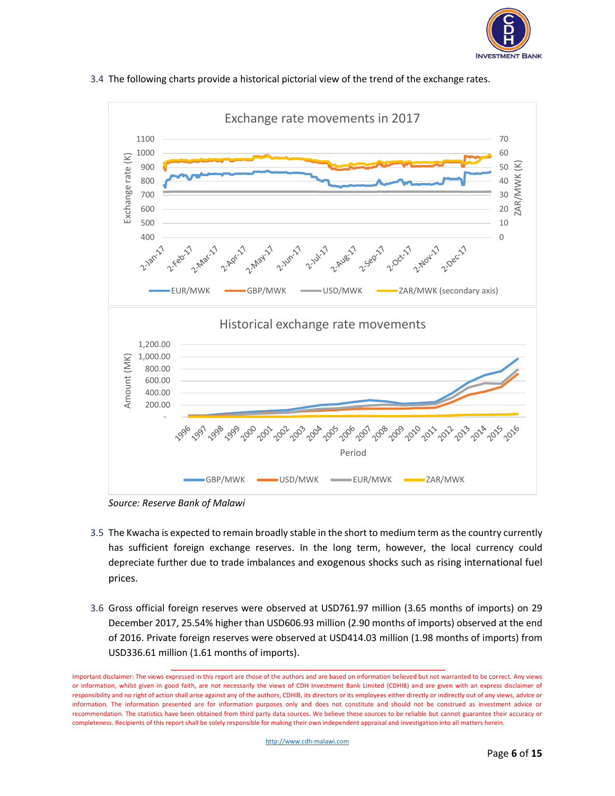



3.4 The following charts provide a historical pictorial view of the trend of the exchange rates.

*Source: Reserve Bank of Malawi*

- 3.5 The Kwacha is expected to remain broadly stable in the short to medium term as the country currently has sufficient foreign exchange reserves. In the long term, however, the local currency could depreciate further due to trade imbalances and exogenous shocks such as rising international fuel prices.
- 3.6 Gross official foreign reserves were observed at USD761.97 million (3.65 months of imports) on 29 December 2017, 25.54% higher than USD606.93 million (2.90 months of imports) observed at the end of 2016. Private foreign reserves were observed at USD414.03 million (1.98 months of imports) from USD336.61 million (1.61 months of imports).

Important disclaimer: The views expressed in this report are those of the authors and are based on information believed but not warranted to be correct. Any views or information, whilst given in good faith, are not necessarily the views of CDH Investment Bank Limited (CDHIB) and are given with an express disclaimer of responsibility and no right of action shall arise against any of the authors, CDHIB, its directors or its employees either directly or indirectly out of any views, advice or information. The information presented are for information purposes only and does not constitute and should not be construed as investment advice or recommendation. The statistics have been obtained from third party data sources. We believe these sources to be reliable but cannot guarantee their accuracy or completeness. Recipients of this report shall be solely responsible for making their own independent appraisal and investigation into all matters herein.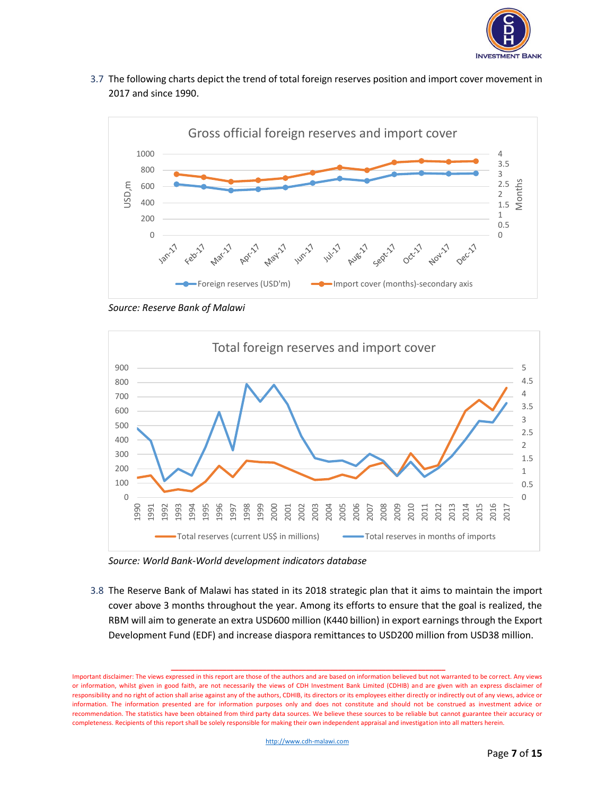

3.7 The following charts depict the trend of total foreign reserves position and import cover movement in and since 1990.



*Source: Reserve Bank of Malawi*



*Source: World Bank-World development indicators database*

3.8 The Reserve Bank of Malawi has stated in its 2018 strategic plan that it aims to maintain the import cover above 3 months throughout the year. Among its efforts to ensure that the goal is realized, the RBM will aim to generate an extra USD600 million (K440 billion) in export earnings through the Export Development Fund (EDF) and increase diaspora remittances to USD200 million from USD38 million.

Important disclaimer: The views expressed in this report are those of the authors and are based on information believed but not warranted to be correct. Any views or information, whilst given in good faith, are not necessarily the views of CDH Investment Bank Limited (CDHIB) and are given with an express disclaimer of responsibility and no right of action shall arise against any of the authors, CDHIB, its directors or its employees either directly or indirectly out of any views, advice or information. The information presented are for information purposes only and does not constitute and should not be construed as investment advice or recommendation. The statistics have been obtained from third party data sources. We believe these sources to be reliable but cannot guarantee their accuracy or completeness. Recipients of this report shall be solely responsible for making their own independent appraisal and investigation into all matters herein.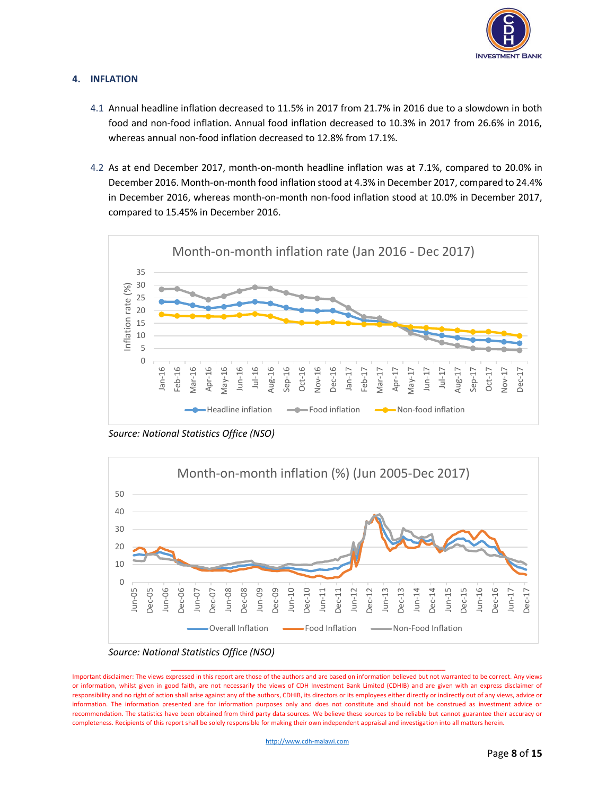

## **4. INFLATION**

- 4.1 Annual headline inflation decreased to 11.5% in 2017 from 21.7% in 2016 due to a slowdown in both food and non-food inflation. Annual food inflation decreased to 10.3% in 2017 from 26.6% in 2016, whereas annual non-food inflation decreased to 12.8% from 17.1%.
- 4.2 As at end December 2017, month-on-month headline inflation was at 7.1%, compared to 20.0% in December 2016. Month-on-month food inflation stood at 4.3% in December 2017, compared to 24.4% in December 2016, whereas month-on-month non-food inflation stood at 10.0% in December 2017, compared to 15.45% in December 2016.



*Source: National Statistics Office (NSO)*



*Source: National Statistics Office (NSO)*

Important disclaimer: The views expressed in this report are those of the authors and are based on information believed but not warranted to be correct. Any views or information, whilst given in good faith, are not necessarily the views of CDH Investment Bank Limited (CDHIB) and are given with an express disclaimer of responsibility and no right of action shall arise against any of the authors, CDHIB, its directors or its employees either directly or indirectly out of any views, advice or information. The information presented are for information purposes only and does not constitute and should not be construed as investment advice or recommendation. The statistics have been obtained from third party data sources. We believe these sources to be reliable but cannot guarantee their accuracy or completeness. Recipients of this report shall be solely responsible for making their own independent appraisal and investigation into all matters herein.

**\_\_\_\_\_\_\_\_\_\_\_\_\_\_\_\_\_\_\_\_\_\_\_\_\_\_\_\_\_\_\_\_\_\_\_\_\_\_\_\_\_\_\_\_\_\_\_\_\_\_\_\_\_\_\_\_\_\_\_\_\_\_\_\_\_\_\_\_\_** 

[http://www.cdh-malawi.com](http://www.cdh-malawi.com/)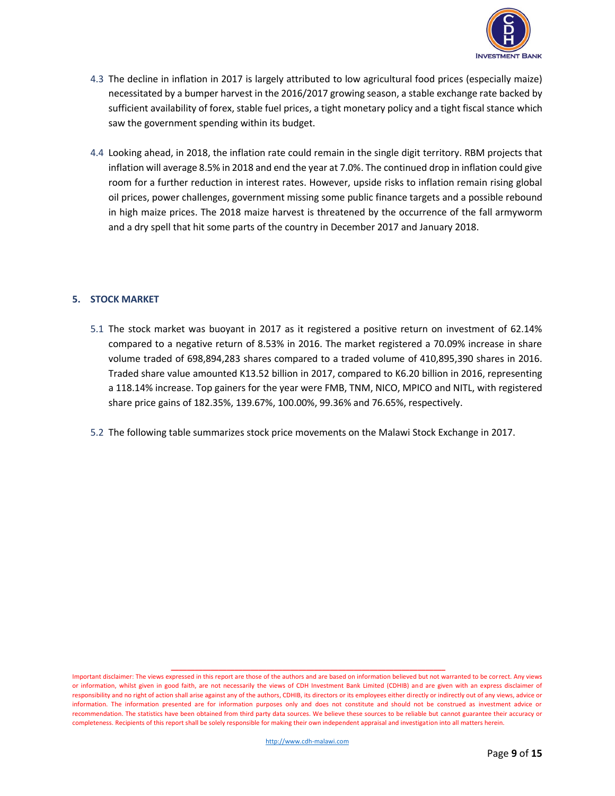

- 4.3 The decline in inflation in 2017 is largely attributed to low agricultural food prices (especially maize) necessitated by a bumper harvest in the 2016/2017 growing season, a stable exchange rate backed by sufficient availability of forex, stable fuel prices, a tight monetary policy and a tight fiscal stance which saw the government spending within its budget.
- 4.4 Looking ahead, in 2018, the inflation rate could remain in the single digit territory. RBM projects that inflation will average 8.5% in 2018 and end the year at 7.0%. The continued drop in inflation could give room for a further reduction in interest rates. However, upside risks to inflation remain rising global oil prices, power challenges, government missing some public finance targets and a possible rebound in high maize prices. The 2018 maize harvest is threatened by the occurrence of the fall armyworm and a dry spell that hit some parts of the country in December 2017 and January 2018.

## **5. STOCK MARKET**

- 5.1 The stock market was buoyant in 2017 as it registered a positive return on investment of 62.14% compared to a negative return of 8.53% in 2016. The market registered a 70.09% increase in share volume traded of 698,894,283 shares compared to a traded volume of 410,895,390 shares in 2016. Traded share value amounted K13.52 billion in 2017, compared to K6.20 billion in 2016, representing a 118.14% increase. Top gainers for the year were FMB, TNM, NICO, MPICO and NITL, with registered share price gains of 182.35%, 139.67%, 100.00%, 99.36% and 76.65%, respectively.
- 5.2 The following table summarizes stock price movements on the Malawi Stock Exchange in 2017.

Important disclaimer: The views expressed in this report are those of the authors and are based on information believed but not warranted to be correct. Any views or information, whilst given in good faith, are not necessarily the views of CDH Investment Bank Limited (CDHIB) and are given with an express disclaimer of responsibility and no right of action shall arise against any of the authors, CDHIB, its directors or its employees either directly or indirectly out of any views, advice or information. The information presented are for information purposes only and does not constitute and should not be construed as investment advice or recommendation. The statistics have been obtained from third party data sources. We believe these sources to be reliable but cannot guarantee their accuracy or completeness. Recipients of this report shall be solely responsible for making their own independent appraisal and investigation into all matters herein.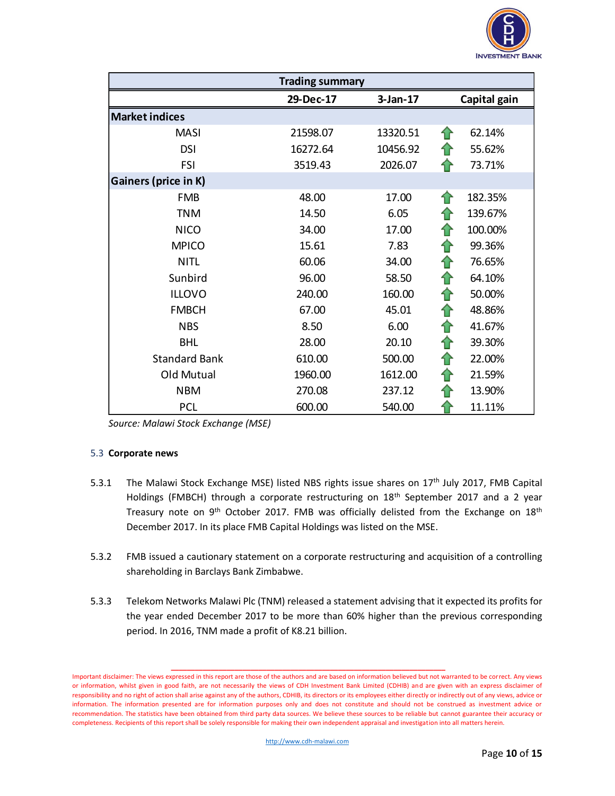

| <b>Trading summary</b> |           |          |               |  |  |
|------------------------|-----------|----------|---------------|--|--|
|                        | 29-Dec-17 |          | Capital gain  |  |  |
| <b>Market indices</b>  |           |          |               |  |  |
| <b>MASI</b>            | 21598.07  | 13320.51 | 62.14%<br>ങ   |  |  |
| <b>DSI</b>             | 16272.64  | 10456.92 | 55.62%        |  |  |
| <b>FSI</b>             | 3519.43   | 2026.07  | 73.71%        |  |  |
| Gainers (price in K)   |           |          |               |  |  |
| <b>FMB</b>             | 48.00     | 17.00    | 182.35%       |  |  |
| <b>TNM</b>             | 14.50     | 6.05     | 139.67%       |  |  |
| <b>NICO</b>            | 34.00     | 17.00    | 100.00%<br>10 |  |  |
| <b>MPICO</b>           | 15.61     | 7.83     | 99.36%<br>11  |  |  |
| <b>NITL</b>            | 60.06     | 34.00    | 76.65%<br>⇑   |  |  |
| Sunbird                | 96.00     | 58.50    | 64.10%<br>⇑   |  |  |
| <b>ILLOVO</b>          | 240.00    | 160.00   | 50.00%<br>⇑   |  |  |
| <b>FMBCH</b>           | 67.00     | 45.01    | 48.86%<br>11  |  |  |
| <b>NBS</b>             | 8.50      | 6.00     | 41.67%<br>⇑   |  |  |
| <b>BHL</b>             | 28.00     | 20.10    | 39.30%<br>⇑   |  |  |
| <b>Standard Bank</b>   | 610.00    | 500.00   | 22.00%<br>⇑   |  |  |
| Old Mutual             | 1960.00   | 1612.00  | ⇑<br>21.59%   |  |  |
| <b>NBM</b>             | 270.08    | 237.12   | 13.90%        |  |  |
| <b>PCL</b>             | 600.00    | 540.00   | 11.11%        |  |  |

| Source: Malawi Stock Exchange (MSE) |  |
|-------------------------------------|--|
|-------------------------------------|--|

## 5.3 **Corporate news**

- 5.3.1 The Malawi Stock Exchange MSE) listed NBS rights issue shares on 17<sup>th</sup> July 2017, FMB Capital Holdings (FMBCH) through a corporate restructuring on 18<sup>th</sup> September 2017 and a 2 year Treasury note on 9<sup>th</sup> October 2017. FMB was officially delisted from the Exchange on 18<sup>th</sup> December 2017. In its place FMB Capital Holdings was listed on the MSE.
- 5.3.2 FMB issued a cautionary statement on a corporate restructuring and acquisition of a controlling shareholding in Barclays Bank Zimbabwe.
- 5.3.3 Telekom Networks Malawi Plc (TNM) released a statement advising that it expected its profits for the year ended December 2017 to be more than 60% higher than the previous corresponding period. In 2016, TNM made a profit of K8.21 billion.

Important disclaimer: The views expressed in this report are those of the authors and are based on information believed but not warranted to be correct. Any views or information, whilst given in good faith, are not necessarily the views of CDH Investment Bank Limited (CDHIB) and are given with an express disclaimer of responsibility and no right of action shall arise against any of the authors, CDHIB, its directors or its employees either directly or indirectly out of any views, advice or information. The information presented are for information purposes only and does not constitute and should not be construed as investment advice or recommendation. The statistics have been obtained from third party data sources. We believe these sources to be reliable but cannot guarantee their accuracy or completeness. Recipients of this report shall be solely responsible for making their own independent appraisal and investigation into all matters herein.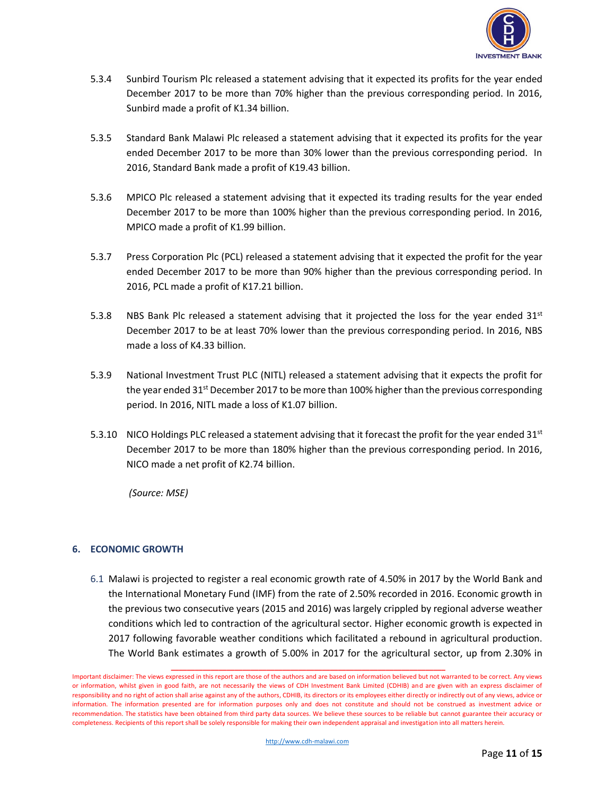

- 5.3.4 Sunbird Tourism Plc released a statement advising that it expected its profits for the year ended December 2017 to be more than 70% higher than the previous corresponding period. In 2016, Sunbird made a profit of K1.34 billion.
- 5.3.5 Standard Bank Malawi Plc released a statement advising that it expected its profits for the year ended December 2017 to be more than 30% lower than the previous corresponding period. In 2016, Standard Bank made a profit of K19.43 billion.
- 5.3.6 MPICO Plc released a statement advising that it expected its trading results for the year ended December 2017 to be more than 100% higher than the previous corresponding period. In 2016, MPICO made a profit of K1.99 billion.
- 5.3.7 Press Corporation Plc (PCL) released a statement advising that it expected the profit for the year ended December 2017 to be more than 90% higher than the previous corresponding period. In 2016, PCL made a profit of K17.21 billion.
- 5.3.8 NBS Bank Plc released a statement advising that it projected the loss for the year ended  $31<sup>st</sup>$ December 2017 to be at least 70% lower than the previous corresponding period. In 2016, NBS made a loss of K4.33 billion.
- 5.3.9 National Investment Trust PLC (NITL) released a statement advising that it expects the profit for the year ended 31<sup>st</sup> December 2017 to be more than 100% higher than the previous corresponding period. In 2016, NITL made a loss of K1.07 billion.
- 5.3.10 NICO Holdings PLC released a statement advising that it forecast the profit for the year ended  $31^{st}$ December 2017 to be more than 180% higher than the previous corresponding period. In 2016, NICO made a net profit of K2.74 billion.

*(Source: MSE)*

## **6. ECONOMIC GROWTH**

6.1 Malawi is projected to register a real economic growth rate of 4.50% in 2017 by the World Bank and the International Monetary Fund (IMF) from the rate of 2.50% recorded in 2016. Economic growth in the previous two consecutive years (2015 and 2016) was largely crippled by regional adverse weather conditions which led to contraction of the agricultural sector. Higher economic growth is expected in 2017 following favorable weather conditions which facilitated a rebound in agricultural production. The World Bank estimates a growth of 5.00% in 2017 for the agricultural sector, up from 2.30% in

Important disclaimer: The views expressed in this report are those of the authors and are based on information believed but not warranted to be correct. Any views or information, whilst given in good faith, are not necessarily the views of CDH Investment Bank Limited (CDHIB) and are given with an express disclaimer of responsibility and no right of action shall arise against any of the authors, CDHIB, its directors or its employees either directly or indirectly out of any views, advice or information. The information presented are for information purposes only and does not constitute and should not be construed as investment advice or recommendation. The statistics have been obtained from third party data sources. We believe these sources to be reliable but cannot guarantee their accuracy or completeness. Recipients of this report shall be solely responsible for making their own independent appraisal and investigation into all matters herein.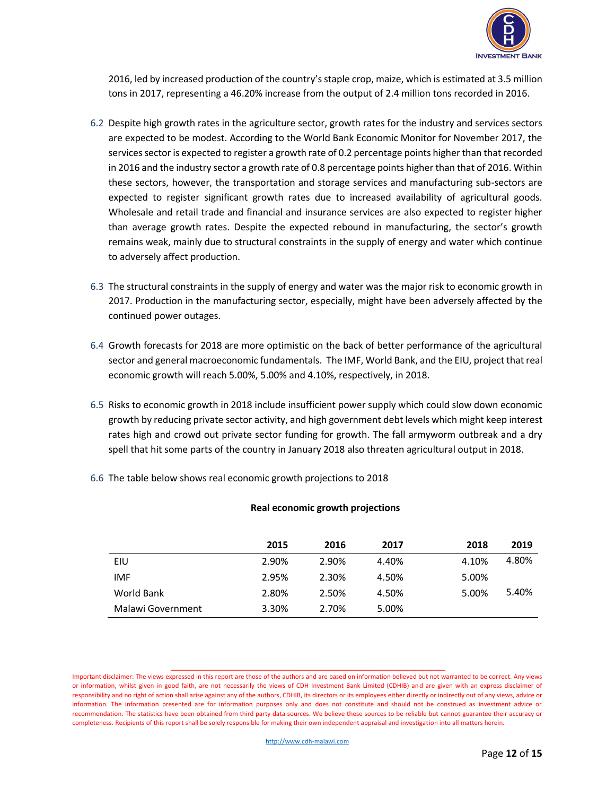

2016, led by increased production of the country's staple crop, maize, which is estimated at 3.5 million tons in 2017, representing a 46.20% increase from the output of 2.4 million tons recorded in 2016.

- 6.2 Despite high growth rates in the agriculture sector, growth rates for the industry and services sectors are expected to be modest. According to the World Bank Economic Monitor for November 2017, the services sector is expected to register a growth rate of 0.2 percentage points higher than that recorded in 2016 and the industry sector a growth rate of 0.8 percentage points higher than that of 2016. Within these sectors, however, the transportation and storage services and manufacturing sub-sectors are expected to register significant growth rates due to increased availability of agricultural goods. Wholesale and retail trade and financial and insurance services are also expected to register higher than average growth rates. Despite the expected rebound in manufacturing, the sector's growth remains weak, mainly due to structural constraints in the supply of energy and water which continue to adversely affect production.
- 6.3 The structural constraints in the supply of energy and water was the major risk to economic growth in 2017. Production in the manufacturing sector, especially, might have been adversely affected by the continued power outages.
- 6.4 Growth forecasts for 2018 are more optimistic on the back of better performance of the agricultural sector and general macroeconomic fundamentals. The IMF, World Bank, and the EIU, project that real economic growth will reach 5.00%, 5.00% and 4.10%, respectively, in 2018.
- 6.5 Risks to economic growth in 2018 include insufficient power supply which could slow down economic growth by reducing private sector activity, and high government debt levels which might keep interest rates high and crowd out private sector funding for growth. The fall armyworm outbreak and a dry spell that hit some parts of the country in January 2018 also threaten agricultural output in 2018.
- 6.6 The table below shows real economic growth projections to 2018

|                   | 2015  | 2016  | 2017  | 2018  | 2019  |
|-------------------|-------|-------|-------|-------|-------|
| EIU               | 2.90% | 2.90% | 4.40% | 4.10% | 4.80% |
| <b>IMF</b>        | 2.95% | 2.30% | 4.50% | 5.00% |       |
| World Bank        | 2.80% | 2.50% | 4.50% | 5.00% | 5.40% |
| Malawi Government | 3.30% | 2.70% | 5.00% |       |       |

## **Real economic growth projections**

Important disclaimer: The views expressed in this report are those of the authors and are based on information believed but not warranted to be correct. Any views or information, whilst given in good faith, are not necessarily the views of CDH Investment Bank Limited (CDHIB) and are given with an express disclaimer of responsibility and no right of action shall arise against any of the authors, CDHIB, its directors or its employees either directly or indirectly out of any views, advice or information. The information presented are for information purposes only and does not constitute and should not be construed as investment advice or recommendation. The statistics have been obtained from third party data sources. We believe these sources to be reliable but cannot guarantee their accuracy or completeness. Recipients of this report shall be solely responsible for making their own independent appraisal and investigation into all matters herein.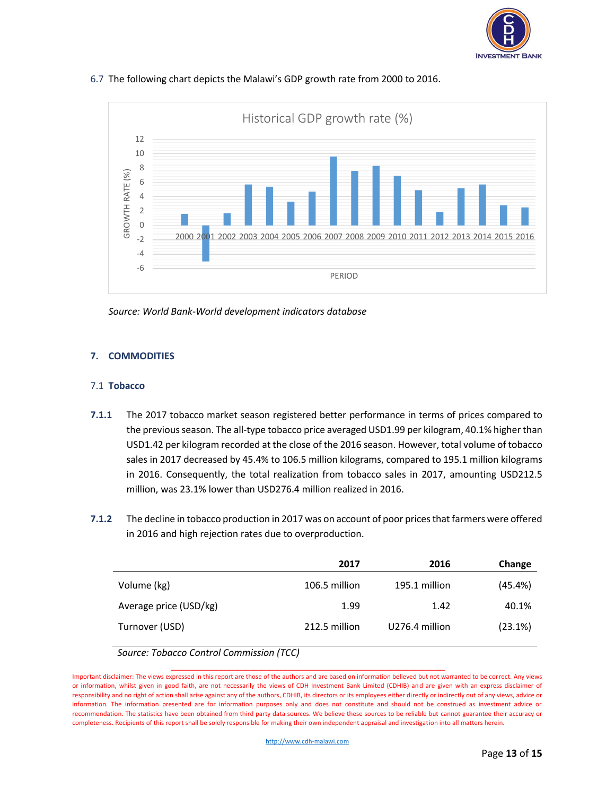



## 6.7 The following chart depicts the Malawi's GDP growth rate from 2000 to 2016.



## **7. COMMODITIES**

#### 7.1 **Tobacco**

- **7.1.1** The 2017 tobacco market season registered better performance in terms of prices compared to the previous season. The all-type tobacco price averaged USD1.99 per kilogram, 40.1% higher than USD1.42 per kilogram recorded at the close of the 2016 season. However, total volume of tobacco sales in 2017 decreased by 45.4% to 106.5 million kilograms, compared to 195.1 million kilograms in 2016. Consequently, the total realization from tobacco sales in 2017, amounting USD212.5 million, was 23.1% lower than USD276.4 million realized in 2016.
- **7.1.2** The decline in tobacco production in 2017 was on account of poor prices that farmers were offered in 2016 and high rejection rates due to overproduction.

|                        | 2017          | 2016           | Change  |
|------------------------|---------------|----------------|---------|
| Volume (kg)            | 106.5 million | 195.1 million  | (45.4%) |
| Average price (USD/kg) | 1.99          | 1.42           | 40.1%   |
| Turnover (USD)         | 212.5 million | U276.4 million | (23.1%) |

*Source: Tobacco Control Commission (TCC)*

Important disclaimer: The views expressed in this report are those of the authors and are based on information believed but not warranted to be correct. Any views or information, whilst given in good faith, are not necessarily the views of CDH Investment Bank Limited (CDHIB) and are given with an express disclaimer of responsibility and no right of action shall arise against any of the authors, CDHIB, its directors or its employees either directly or indirectly out of any views, advice or information. The information presented are for information purposes only and does not constitute and should not be construed as investment advice or recommendation. The statistics have been obtained from third party data sources. We believe these sources to be reliable but cannot guarantee their accuracy or completeness. Recipients of this report shall be solely responsible for making their own independent appraisal and investigation into all matters herein.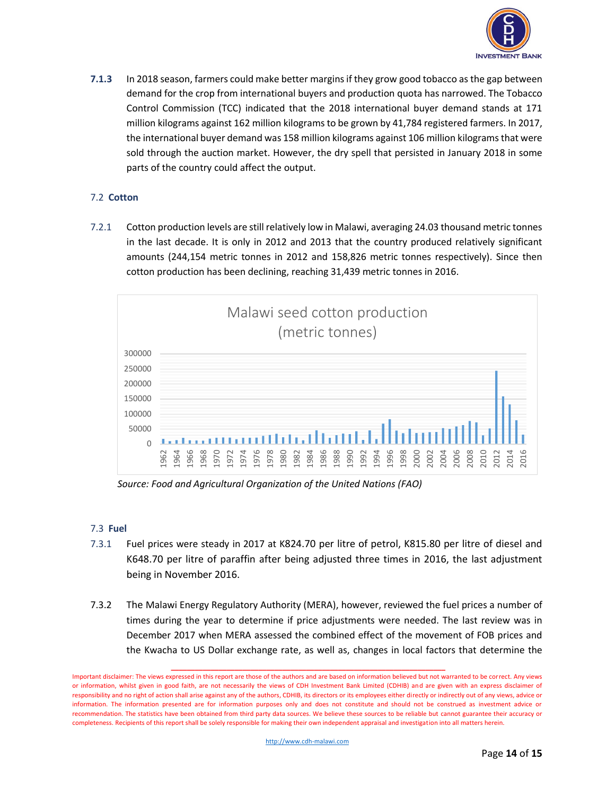

**7.1.3** In 2018 season, farmers could make better margins if they grow good tobacco as the gap between demand for the crop from international buyers and production quota has narrowed. The Tobacco Control Commission (TCC) indicated that the 2018 international buyer demand stands at 171 million kilograms against 162 million kilograms to be grown by 41,784 registered farmers. In 2017, the international buyer demand was 158 million kilograms against 106 million kilograms that were sold through the auction market. However, the dry spell that persisted in January 2018 in some parts of the country could affect the output.

## 7.2 **Cotton**

7.2.1 Cotton production levels are still relatively low in Malawi, averaging 24.03 thousand metric tonnes in the last decade. It is only in 2012 and 2013 that the country produced relatively significant amounts (244,154 metric tonnes in 2012 and 158,826 metric tonnes respectively). Since then cotton production has been declining, reaching 31,439 metric tonnes in 2016.



*Source: Food and Agricultural Organization of the United Nations (FAO)*

## 7.3 **Fuel**

- 7.3.1 Fuel prices were steady in 2017 at K824.70 per litre of petrol, K815.80 per litre of diesel and K648.70 per litre of paraffin after being adjusted three times in 2016, the last adjustment being in November 2016.
- 7.3.2 The Malawi Energy Regulatory Authority (MERA), however, reviewed the fuel prices a number of times during the year to determine if price adjustments were needed. The last review was in December 2017 when MERA assessed the combined effect of the movement of FOB prices and the Kwacha to US Dollar exchange rate, as well as, changes in local factors that determine the

Important disclaimer: The views expressed in this report are those of the authors and are based on information believed but not warranted to be correct. Any views or information, whilst given in good faith, are not necessarily the views of CDH Investment Bank Limited (CDHIB) and are given with an express disclaimer of responsibility and no right of action shall arise against any of the authors, CDHIB, its directors or its employees either directly or indirectly out of any views, advice or information. The information presented are for information purposes only and does not constitute and should not be construed as investment advice or recommendation. The statistics have been obtained from third party data sources. We believe these sources to be reliable but cannot guarantee their accuracy or completeness. Recipients of this report shall be solely responsible for making their own independent appraisal and investigation into all matters herein.